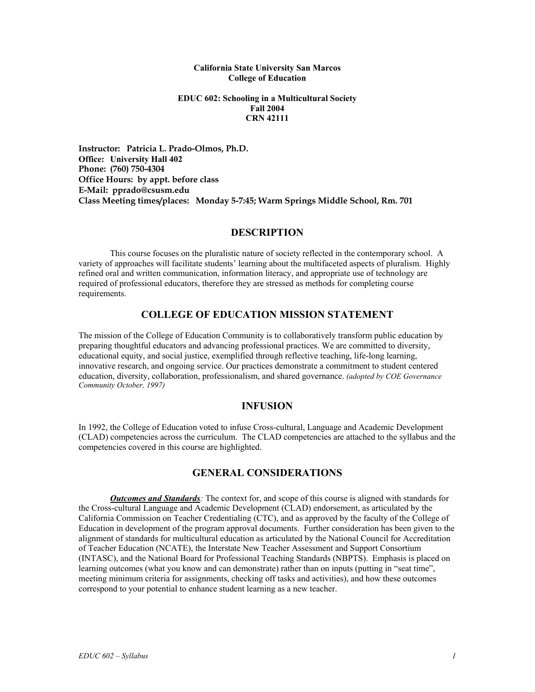#### **California State University San Marcos College of Education**

### **EDUC 602: Schooling in a Multicultural Society Fall 2004 CRN 42111**

**Instructor: Patricia L. Prado-Olmos, Ph.D. Office: University Hall 402 Phone: (760) 750-4304 Office Hours: by appt. before class E-Mail: pprado@csusm.edu Class Meeting times/places: Monday 5-7:45; Warm Springs Middle School, Rm. 701** 

## **DESCRIPTION**

 This course focuses on the pluralistic nature of society reflected in the contemporary school. A variety of approaches will facilitate students' learning about the multifaceted aspects of pluralism. Highly refined oral and written communication, information literacy, and appropriate use of technology are required of professional educators, therefore they are stressed as methods for completing course requirements.

# **COLLEGE OF EDUCATION MISSION STATEMENT**

The mission of the College of Education Community is to collaboratively transform public education by preparing thoughtful educators and advancing professional practices. We are committed to diversity, educational equity, and social justice, exemplified through reflective teaching, life-long learning, innovative research, and ongoing service. Our practices demonstrate a commitment to student centered education, diversity, collaboration, professionalism, and shared governance. *(adopted by COE Governance Community October, 1997)* 

## **INFUSION**

In 1992, the College of Education voted to infuse Cross-cultural, Language and Academic Development (CLAD) competencies across the curriculum. The CLAD competencies are attached to the syllabus and the competencies covered in this course are highlighted.

# **GENERAL CONSIDERATIONS**

*Outcomes and Standards:* The context for, and scope of this course is aligned with standards for the Cross-cultural Language and Academic Development (CLAD) endorsement, as articulated by the California Commission on Teacher Credentialing (CTC), and as approved by the faculty of the College of Education in development of the program approval documents. Further consideration has been given to the alignment of standards for multicultural education as articulated by the National Council for Accreditation of Teacher Education (NCATE), the Interstate New Teacher Assessment and Support Consortium (INTASC), and the National Board for Professional Teaching Standards (NBPTS). Emphasis is placed on learning outcomes (what you know and can demonstrate) rather than on inputs (putting in "seat time", meeting minimum criteria for assignments, checking off tasks and activities), and how these outcomes correspond to your potential to enhance student learning as a new teacher.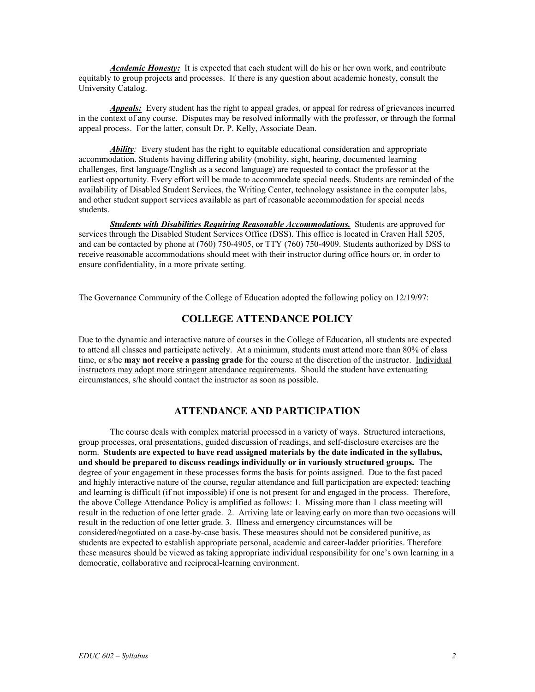*Academic Honesty:* It is expected that each student will do his or her own work, and contribute equitably to group projects and processes. If there is any question about academic honesty, consult the University Catalog.

*Appeals:* Every student has the right to appeal grades, or appeal for redress of grievances incurred in the context of any course. Disputes may be resolved informally with the professor, or through the formal appeal process. For the latter, consult Dr. P. Kelly, Associate Dean.

Ability: Every student has the right to equitable educational consideration and appropriate accommodation. Students having differing ability (mobility, sight, hearing, documented learning challenges, first language/English as a second language) are requested to contact the professor at the earliest opportunity. Every effort will be made to accommodate special needs. Students are reminded of the availability of Disabled Student Services, the Writing Center, technology assistance in the computer labs, and other student support services available as part of reasonable accommodation for special needs students.

*Students with Disabilities Requiring Reasonable Accommodations.* Students are approved for services through the Disabled Student Services Office (DSS). This office is located in Craven Hall 5205, and can be contacted by phone at (760) 750-4905, or TTY (760) 750-4909. Students authorized by DSS to receive reasonable accommodations should meet with their instructor during office hours or, in order to ensure confidentiality, in a more private setting.

The Governance Community of the College of Education adopted the following policy on 12/19/97:

# **COLLEGE ATTENDANCE POLICY**

Due to the dynamic and interactive nature of courses in the College of Education, all students are expected to attend all classes and participate actively. At a minimum, students must attend more than 80% of class time, or s/he **may not receive a passing grade** for the course at the discretion of the instructor. Individual instructors may adopt more stringent attendance requirements. Should the student have extenuating circumstances, s/he should contact the instructor as soon as possible.

## **ATTENDANCE AND PARTICIPATION**

The course deals with complex material processed in a variety of ways. Structured interactions, group processes, oral presentations, guided discussion of readings, and self-disclosure exercises are the norm. **Students are expected to have read assigned materials by the date indicated in the syllabus, and should be prepared to discuss readings individually or in variously structured groups.** The degree of your engagement in these processes forms the basis for points assigned. Due to the fast paced and highly interactive nature of the course, regular attendance and full participation are expected: teaching and learning is difficult (if not impossible) if one is not present for and engaged in the process. Therefore, the above College Attendance Policy is amplified as follows: 1. Missing more than 1 class meeting will result in the reduction of one letter grade. 2. Arriving late or leaving early on more than two occasions will result in the reduction of one letter grade. 3. Illness and emergency circumstances will be considered/negotiated on a case-by-case basis. These measures should not be considered punitive, as students are expected to establish appropriate personal, academic and career-ladder priorities. Therefore these measures should be viewed as taking appropriate individual responsibility for one's own learning in a democratic, collaborative and reciprocal-learning environment.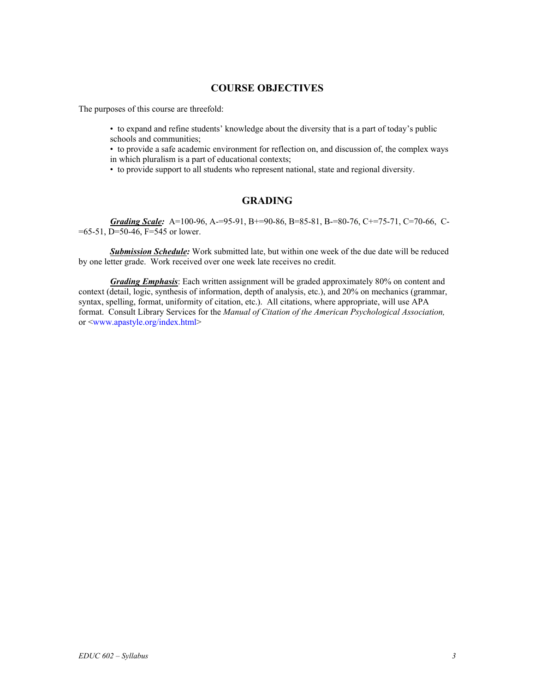## **COURSE OBJECTIVES**

The purposes of this course are threefold:

• to expand and refine students' knowledge about the diversity that is a part of today's public schools and communities;

• to provide a safe academic environment for reflection on, and discussion of, the complex ways in which pluralism is a part of educational contexts;

• to provide support to all students who represent national, state and regional diversity.

# **GRADING**

*Grading Scale:* A=100-96, A-=95-91, B+=90-86, B=85-81, B-=80-76, C+=75-71, C=70-66, C-  $=65-51$ , D $=50-46$ , F $=545$  or lower.

 *Submission Schedule:* Work submitted late, but within one week of the due date will be reduced by one letter grade. Work received over one week late receives no credit.

*Grading Emphasis*: Each written assignment will be graded approximately 80% on content and context (detail, logic, synthesis of information, depth of analysis, etc.), and 20% on mechanics (grammar, syntax, spelling, format, uniformity of citation, etc.). All citations, where appropriate, will use APA format. Consult Library Services for the *Manual of Citation of the American Psychological Association,* or <www.apastyle.org/index.html>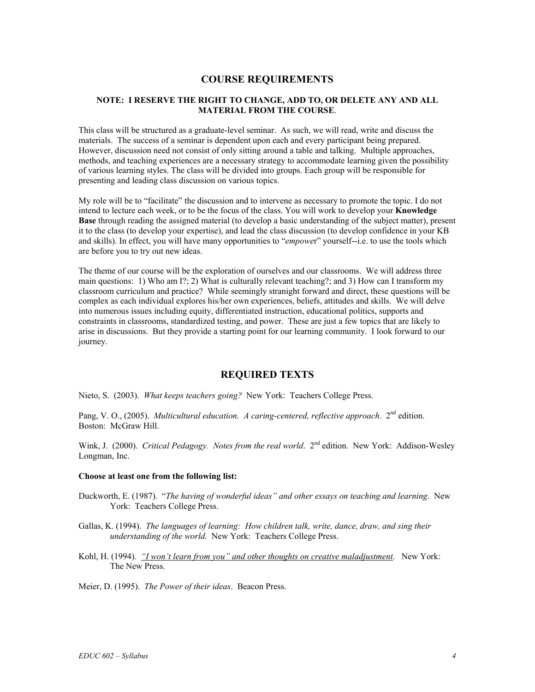## **COURSE REQUIREMENTS**

### **NOTE: I RESERVE THE RIGHT TO CHANGE, ADD TO, OR DELETE ANY AND ALL MATERIAL FROM THE COURSE**.

This class will be structured as a graduate-level seminar. As such, we will read, write and discuss the materials. The success of a seminar is dependent upon each and every participant being prepared. However, discussion need not consist of only sitting around a table and talking. Multiple approaches, methods, and teaching experiences are a necessary strategy to accommodate learning given the possibility of various learning styles. The class will be divided into groups. Each group will be responsible for presenting and leading class discussion on various topics.

My role will be to "facilitate" the discussion and to intervene as necessary to promote the topic. I do not intend to lecture each week, or to be the focus of the class. You will work to develop your **Knowledge Base** through reading the assigned material (to develop a basic understanding of the subject matter), present it to the class (to develop your expertise), and lead the class discussion (to develop confidence in your KB and skills). In effect, you will have many opportunities to "*empowe*r" yourself--i.e. to use the tools which are before you to try out new ideas.

The theme of our course will be the exploration of ourselves and our classrooms. We will address three main questions: 1) Who am I?; 2) What is culturally relevant teaching?; and 3) How can I transform my classroom curriculum and practice? While seemingly stranight forward and direct, these questions will be complex as each individual explores his/her own experiences, beliefs, attitudes and skills. We will delve into numerous issues including equity, differentiated instruction, educational politics, supports and constraints in classrooms, standardized testing, and power. These are just a few topics that are likely to arise in discussions. But they provide a starting point for our learning community. I look forward to our journey.

# **REQUIRED TEXTS**

Nieto, S. (2003). *What keeps teachers going?* New York: Teachers College Press.

Pang, V. O., (2005). *Multicultural education. A caring-centered, reflective approach.* 2<sup>nd</sup> edition. Boston: McGraw Hill.

Wink, J. (2000). *Critical Pedagogy. Notes from the real world*. 2<sup>nd</sup> edition. New York: Addison-Wesley Longman, Inc.

#### **Choose at least one from the following list:**

- Duckworth, E. (1987). "*The having of wonderful ideas" and other essays on teaching and learning*. New York: Teachers College Press.
- Gallas, K. (1994). *The languages of learning: How children talk, write, dance, draw, and sing their understanding of the world.* New York: Teachers College Press.
- Kohl, H. (1994). *"I won't learn from you" and other thoughts on creative maladjustment*. New York: The New Press.

Meier, D. (1995). *The Power of their ideas*. Beacon Press.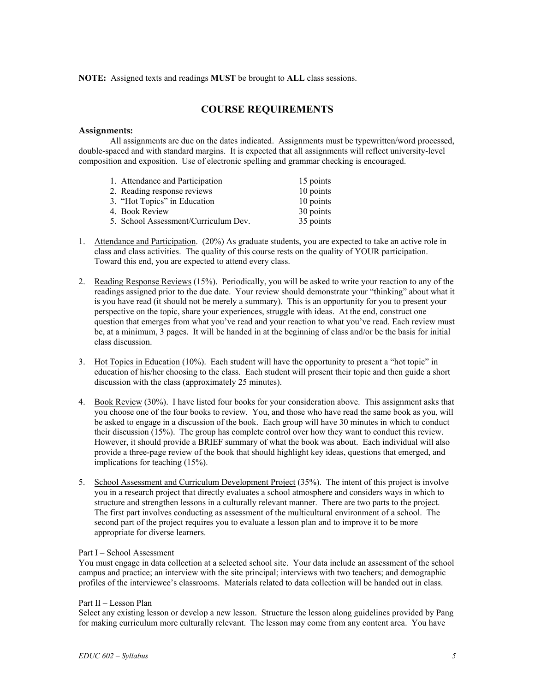#### **NOTE:** Assigned texts and readings **MUST** be brought to **ALL** class sessions.

# **COURSE REQUIREMENTS**

#### **Assignments:**

 All assignments are due on the dates indicated. Assignments must be typewritten/word processed, double-spaced and with standard margins. It is expected that all assignments will reflect university-level composition and exposition. Use of electronic spelling and grammar checking is encouraged.

| 1. Attendance and Participation      | 15 points |
|--------------------------------------|-----------|
| 2. Reading response reviews          | 10 points |
| 3. "Hot Topics" in Education         | 10 points |
| 4. Book Review                       | 30 points |
| 5. School Assessment/Curriculum Dev. | 35 points |

- 1. Attendance and Participation. (20%) As graduate students, you are expected to take an active role in class and class activities. The quality of this course rests on the quality of YOUR participation. Toward this end, you are expected to attend every class.
- 2. Reading Response Reviews (15%). Periodically, you will be asked to write your reaction to any of the readings assigned prior to the due date. Your review should demonstrate your "thinking" about what it is you have read (it should not be merely a summary). This is an opportunity for you to present your perspective on the topic, share your experiences, struggle with ideas. At the end, construct one question that emerges from what you've read and your reaction to what you've read. Each review must be, at a minimum, 3 pages. It will be handed in at the beginning of class and/or be the basis for initial class discussion.
- 3. Hot Topics in Education (10%). Each student will have the opportunity to present a "hot topic" in education of his/her choosing to the class. Each student will present their topic and then guide a short discussion with the class (approximately 25 minutes).
- 4. Book Review (30%). I have listed four books for your consideration above. This assignment asks that you choose one of the four books to review. You, and those who have read the same book as you, will be asked to engage in a discussion of the book. Each group will have 30 minutes in which to conduct their discussion (15%). The group has complete control over how they want to conduct this review. However, it should provide a BRIEF summary of what the book was about. Each individual will also provide a three-page review of the book that should highlight key ideas, questions that emerged, and implications for teaching (15%).
- 5. School Assessment and Curriculum Development Project (35%). The intent of this project is involve you in a research project that directly evaluates a school atmosphere and considers ways in which to structure and strengthen lessons in a culturally relevant manner. There are two parts to the project. The first part involves conducting as assessment of the multicultural environment of a school. The second part of the project requires you to evaluate a lesson plan and to improve it to be more appropriate for diverse learners.

#### Part I – School Assessment

You must engage in data collection at a selected school site. Your data include an assessment of the school campus and practice; an interview with the site principal; interviews with two teachers; and demographic profiles of the interviewee's classrooms. Materials related to data collection will be handed out in class.

#### Part II – Lesson Plan

Select any existing lesson or develop a new lesson. Structure the lesson along guidelines provided by Pang for making curriculum more culturally relevant. The lesson may come from any content area. You have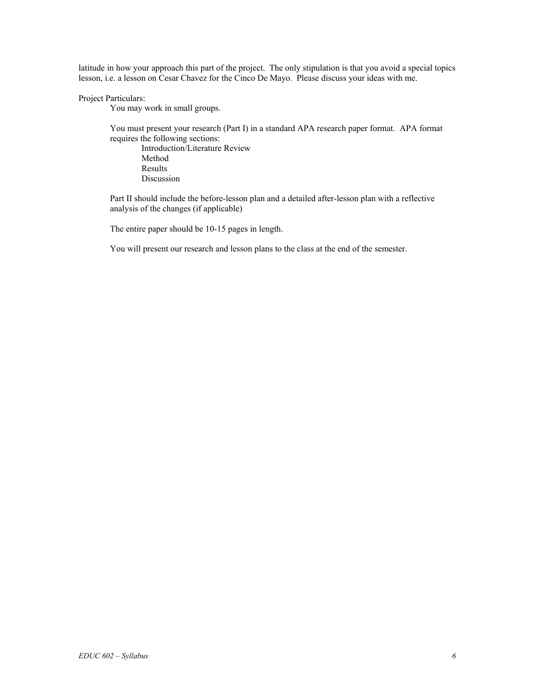latitude in how your approach this part of the project. The only stipulation is that you avoid a special topics lesson, i.e. a lesson on Cesar Chavez for the Cinco De Mayo. Please discuss your ideas with me.

#### Project Particulars:

You may work in small groups.

 You must present your research (Part I) in a standard APA research paper format. APA format requires the following sections:

 Introduction/Literature Review Method Results Discussion

 Part II should include the before-lesson plan and a detailed after-lesson plan with a reflective analysis of the changes (if applicable)

The entire paper should be 10-15 pages in length.

You will present our research and lesson plans to the class at the end of the semester.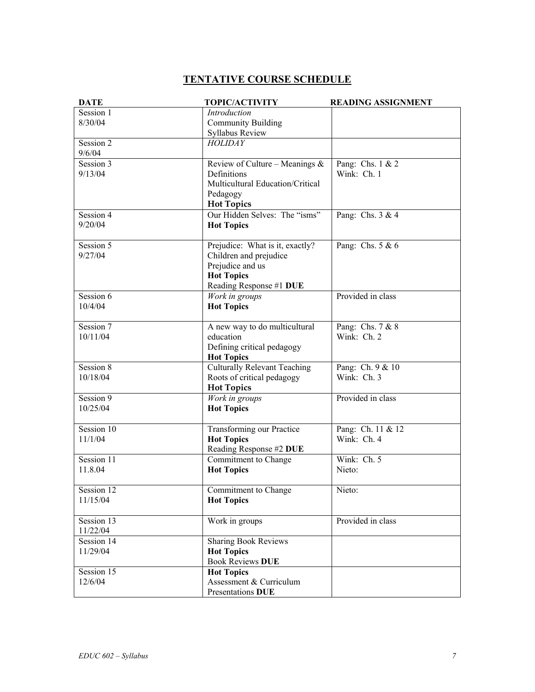# **TENTATIVE COURSE SCHEDULE**

| <b>DATE</b>            | <b>TOPIC/ACTIVITY</b>                                                                                                         | <b>READING ASSIGNMENT</b>          |
|------------------------|-------------------------------------------------------------------------------------------------------------------------------|------------------------------------|
| Session 1<br>8/30/04   | Introduction<br><b>Community Building</b><br>Syllabus Review                                                                  |                                    |
| Session 2<br>9/6/04    | <b>HOLIDAY</b>                                                                                                                |                                    |
| Session 3<br>9/13/04   | Review of Culture – Meanings $\&$<br>Definitions<br>Multicultural Education/Critical<br>Pedagogy<br><b>Hot Topics</b>         | Pang: Chs. $1 \& 2$<br>Wink: Ch. 1 |
| Session 4<br>9/20/04   | Our Hidden Selves: The "isms"<br><b>Hot Topics</b>                                                                            | Pang: Chs. 3 & 4                   |
| Session 5<br>9/27/04   | Prejudice: What is it, exactly?<br>Children and prejudice<br>Prejudice and us<br><b>Hot Topics</b><br>Reading Response #1 DUE | Pang: Chs. 5 & 6                   |
| Session 6<br>10/4/04   | Work in groups<br><b>Hot Topics</b>                                                                                           | Provided in class                  |
| Session 7<br>10/11/04  | A new way to do multicultural<br>education<br>Defining critical pedagogy<br><b>Hot Topics</b>                                 | Pang: Chs. 7 & 8<br>Wink: Ch. 2    |
| Session 8<br>10/18/04  | <b>Culturally Relevant Teaching</b><br>Roots of critical pedagogy<br><b>Hot Topics</b>                                        | Pang: Ch. 9 & 10<br>Wink: Ch. 3    |
| Session 9<br>10/25/04  | Work in groups<br><b>Hot Topics</b>                                                                                           | Provided in class                  |
| Session 10<br>11/1/04  | Transforming our Practice<br><b>Hot Topics</b><br>Reading Response #2 DUE                                                     | Pang: Ch. 11 & 12<br>Wink: Ch. 4   |
| Session 11<br>11.8.04  | Commitment to Change<br><b>Hot Topics</b>                                                                                     | Wink: Ch. 5<br>Nieto:              |
| Session 12<br>11/15/04 | Commitment to Change<br><b>Hot Topics</b>                                                                                     | Nieto:                             |
| Session 13<br>11/22/04 | Work in groups                                                                                                                | Provided in class                  |
| Session 14<br>11/29/04 | <b>Sharing Book Reviews</b><br><b>Hot Topics</b><br><b>Book Reviews DUE</b>                                                   |                                    |
| Session 15<br>12/6/04  | <b>Hot Topics</b><br>Assessment & Curriculum<br>Presentations DUE                                                             |                                    |